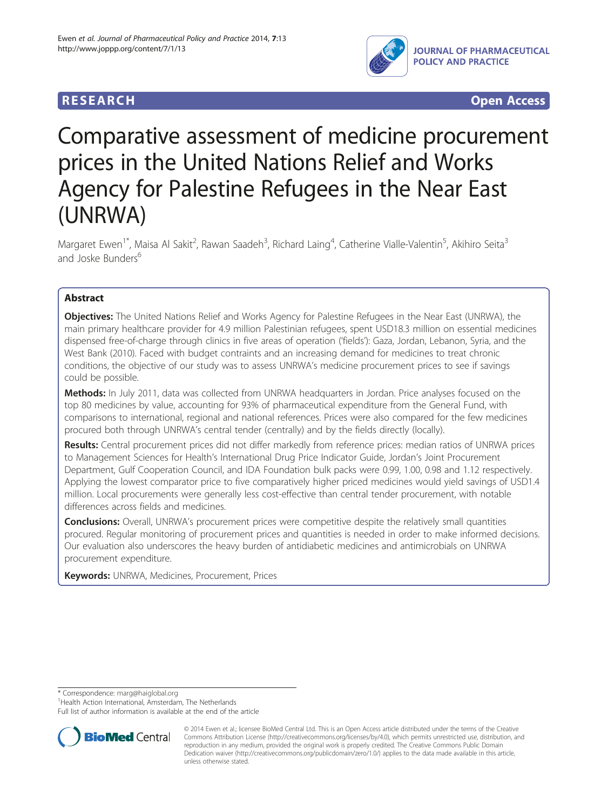# **RESEARCH RESEARCH** *CHECK CHECK CHECK CHECK CHECK CHECK CHECK CHECK CHECK CHECK CHECK CHECK CHECK CHECK CHECK CHECK CHECK CHECK CHECK CHECK CHECK CHECK CHECK CHECK CHECK CHECK CHECK CHECK CHECK CHECK CHECK CHECK CHECK*



# Comparative assessment of medicine procurement prices in the United Nations Relief and Works Agency for Palestine Refugees in the Near East (UNRWA)

Margaret Ewen<sup>1\*</sup>, Maisa Al Sakit<sup>2</sup>, Rawan Saadeh<sup>3</sup>, Richard Laing<sup>4</sup>, Catherine Vialle-Valentin<sup>5</sup>, Akihiro Seita<sup>3</sup> and Joske Bunders<sup>6</sup>

# Abstract

Objectives: The United Nations Relief and Works Agency for Palestine Refugees in the Near East (UNRWA), the main primary healthcare provider for 4.9 million Palestinian refugees, spent USD18.3 million on essential medicines dispensed free-of-charge through clinics in five areas of operation ('fields'): Gaza, Jordan, Lebanon, Syria, and the West Bank (2010). Faced with budget contraints and an increasing demand for medicines to treat chronic conditions, the objective of our study was to assess UNRWA's medicine procurement prices to see if savings could be possible.

Methods: In July 2011, data was collected from UNRWA headquarters in Jordan. Price analyses focused on the top 80 medicines by value, accounting for 93% of pharmaceutical expenditure from the General Fund, with comparisons to international, regional and national references. Prices were also compared for the few medicines procured both through UNRWA's central tender (centrally) and by the fields directly (locally).

Results: Central procurement prices did not differ markedly from reference prices: median ratios of UNRWA prices to Management Sciences for Health's International Drug Price Indicator Guide, Jordan's Joint Procurement Department, Gulf Cooperation Council, and IDA Foundation bulk packs were 0.99, 1.00, 0.98 and 1.12 respectively. Applying the lowest comparator price to five comparatively higher priced medicines would yield savings of USD1.4 million. Local procurements were generally less cost-effective than central tender procurement, with notable differences across fields and medicines.

**Conclusions:** Overall, UNRWA's procurement prices were competitive despite the relatively small quantities procured. Regular monitoring of procurement prices and quantities is needed in order to make informed decisions. Our evaluation also underscores the heavy burden of antidiabetic medicines and antimicrobials on UNRWA procurement expenditure.

Keywords: UNRWA, Medicines, Procurement, Prices

\* Correspondence: [marg@haiglobal.org](mailto:marg@haiglobal.org) <sup>1</sup>

<sup>1</sup>Health Action International, Amsterdam, The Netherlands

Full list of author information is available at the end of the article



<sup>© 2014</sup> Ewen et al.; licensee BioMed Central Ltd. This is an Open Access article distributed under the terms of the Creative Commons Attribution License [\(http://creativecommons.org/licenses/by/4.0\)](http://creativecommons.org/licenses/by/4.0), which permits unrestricted use, distribution, and reproduction in any medium, provided the original work is properly credited. The Creative Commons Public Domain Dedication waiver [\(http://creativecommons.org/publicdomain/zero/1.0/](http://creativecommons.org/publicdomain/zero/1.0/)) applies to the data made available in this article, unless otherwise stated.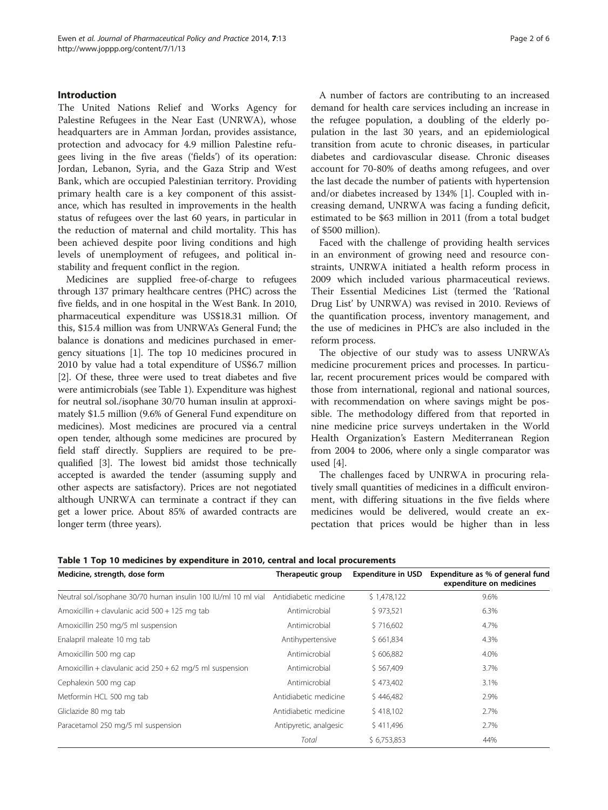## Introduction

The United Nations Relief and Works Agency for Palestine Refugees in the Near East (UNRWA), whose headquarters are in Amman Jordan, provides assistance, protection and advocacy for 4.9 million Palestine refugees living in the five areas ('fields') of its operation: Jordan, Lebanon, Syria, and the Gaza Strip and West Bank, which are occupied Palestinian territory. Providing primary health care is a key component of this assistance, which has resulted in improvements in the health status of refugees over the last 60 years, in particular in the reduction of maternal and child mortality. This has been achieved despite poor living conditions and high levels of unemployment of refugees, and political instability and frequent conflict in the region.

Medicines are supplied free-of-charge to refugees through 137 primary healthcare centres (PHC) across the five fields, and in one hospital in the West Bank. In 2010, pharmaceutical expenditure was US\$18.31 million. Of this, \$15.4 million was from UNRWA's General Fund; the balance is donations and medicines purchased in emergency situations [\[1](#page-4-0)]. The top 10 medicines procured in 2010 by value had a total expenditure of US\$6.7 million [[2\]](#page-4-0). Of these, three were used to treat diabetes and five were antimicrobials (see Table 1). Expenditure was highest for neutral sol./isophane 30/70 human insulin at approximately \$1.5 million (9.6% of General Fund expenditure on medicines). Most medicines are procured via a central open tender, although some medicines are procured by field staff directly. Suppliers are required to be prequalified [\[3\]](#page-4-0). The lowest bid amidst those technically accepted is awarded the tender (assuming supply and other aspects are satisfactory). Prices are not negotiated although UNRWA can terminate a contract if they can get a lower price. About 85% of awarded contracts are longer term (three years).

A number of factors are contributing to an increased demand for health care services including an increase in the refugee population, a doubling of the elderly population in the last 30 years, and an epidemiological transition from acute to chronic diseases, in particular diabetes and cardiovascular disease. Chronic diseases account for 70-80% of deaths among refugees, and over the last decade the number of patients with hypertension and/or diabetes increased by 134% [\[1](#page-4-0)]. Coupled with increasing demand, UNRWA was facing a funding deficit, estimated to be \$63 million in 2011 (from a total budget of \$500 million).

Faced with the challenge of providing health services in an environment of growing need and resource constraints, UNRWA initiated a health reform process in 2009 which included various pharmaceutical reviews. Their Essential Medicines List (termed the 'Rational Drug List' by UNRWA) was revised in 2010. Reviews of the quantification process, inventory management, and the use of medicines in PHC's are also included in the reform process.

The objective of our study was to assess UNRWA's medicine procurement prices and processes. In particular, recent procurement prices would be compared with those from international, regional and national sources, with recommendation on where savings might be possible. The methodology differed from that reported in nine medicine price surveys undertaken in the World Health Organization's Eastern Mediterranean Region from 2004 to 2006, where only a single comparator was used [[4](#page-4-0)].

The challenges faced by UNRWA in procuring relatively small quantities of medicines in a difficult environment, with differing situations in the five fields where medicines would be delivered, would create an expectation that prices would be higher than in less

Table 1 Top 10 medicines by expenditure in 2010, central and local procurements

| Medicine, strength, dose form                                  | Therapeutic group      | <b>Expenditure in USD</b> | Expenditure as % of general fund<br>expenditure on medicines |
|----------------------------------------------------------------|------------------------|---------------------------|--------------------------------------------------------------|
| Neutral sol./isophane 30/70 human insulin 100 IU/ml 10 ml vial | Antidiabetic medicine  | \$1,478,122               | 9.6%                                                         |
| Amoxicillin + clavulanic acid 500 + 125 mg tab                 | Antimicrobial          | \$973,521                 | 6.3%                                                         |
| Amoxicillin 250 mg/5 ml suspension                             | Antimicrobial          | \$716,602                 | 4.7%                                                         |
| Enalapril maleate 10 mg tab                                    | Antihypertensive       | \$661,834                 | 4.3%                                                         |
| Amoxicillin 500 mg cap                                         | Antimicrobial          | \$606,882                 | 4.0%                                                         |
| Amoxicillin + clavulanic acid 250 + 62 mg/5 ml suspension      | Antimicrobial          | \$567,409                 | 3.7%                                                         |
| Cephalexin 500 mg cap                                          | Antimicrobial          | \$473,402                 | 3.1%                                                         |
| Metformin HCL 500 mg tab                                       | Antidiabetic medicine  | \$446,482                 | 2.9%                                                         |
| Gliclazide 80 mg tab                                           | Antidiabetic medicine  | \$418,102                 | 2.7%                                                         |
| Paracetamol 250 mg/5 ml suspension                             | Antipyretic, analgesic | \$411,496                 | 2.7%                                                         |
|                                                                | Total                  | \$6,753,853               | 44%                                                          |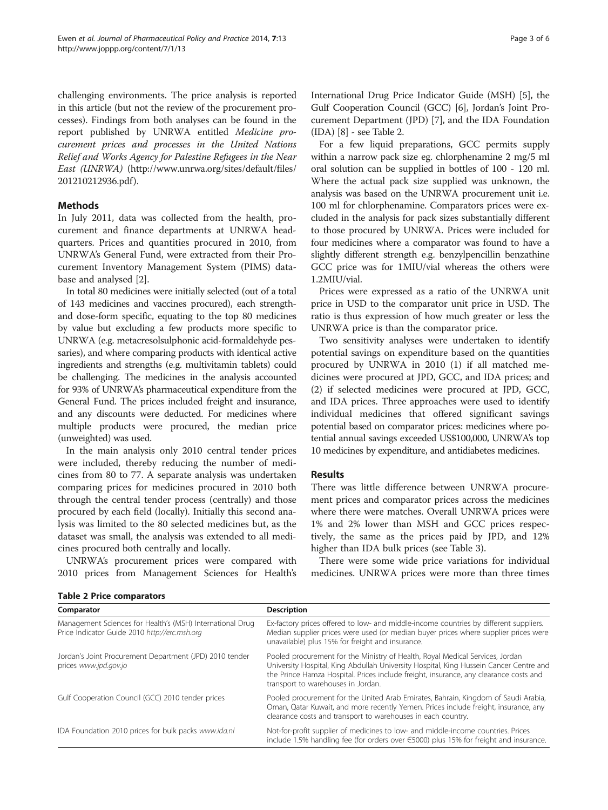challenging environments. The price analysis is reported in this article (but not the review of the procurement processes). Findings from both analyses can be found in the report published by UNRWA entitled Medicine procurement prices and processes in the United Nations Relief and Works Agency for Palestine Refugees in the Near East (UNRWA) ([http://www.unrwa.org/sites/default/files/](http://www.unrwa.org/sites/default/files/201210212936.pdf) [201210212936.pdf](http://www.unrwa.org/sites/default/files/201210212936.pdf) ).

# **Methods**

In July 2011, data was collected from the health, procurement and finance departments at UNRWA headquarters. Prices and quantities procured in 2010, from UNRWA's General Fund, were extracted from their Procurement Inventory Management System (PIMS) database and analysed [\[2\]](#page-4-0).

In total 80 medicines were initially selected (out of a total of 143 medicines and vaccines procured), each strengthand dose-form specific, equating to the top 80 medicines by value but excluding a few products more specific to UNRWA (e.g. metacresolsulphonic acid-formaldehyde pessaries), and where comparing products with identical active ingredients and strengths (e.g. multivitamin tablets) could be challenging. The medicines in the analysis accounted for 93% of UNRWA's pharmaceutical expenditure from the General Fund. The prices included freight and insurance, and any discounts were deducted. For medicines where multiple products were procured, the median price (unweighted) was used.

In the main analysis only 2010 central tender prices were included, thereby reducing the number of medicines from 80 to 77. A separate analysis was undertaken comparing prices for medicines procured in 2010 both through the central tender process (centrally) and those procured by each field (locally). Initially this second analysis was limited to the 80 selected medicines but, as the dataset was small, the analysis was extended to all medicines procured both centrally and locally.

UNRWA's procurement prices were compared with 2010 prices from Management Sciences for Health's International Drug Price Indicator Guide (MSH) [\[5\]](#page-5-0), the Gulf Cooperation Council (GCC) [\[6\]](#page-5-0), Jordan's Joint Procurement Department (JPD) [[7\]](#page-5-0), and the IDA Foundation (IDA) [[8](#page-5-0)] - see Table 2.

For a few liquid preparations, GCC permits supply within a narrow pack size eg. chlorphenamine 2 mg/5 ml oral solution can be supplied in bottles of 100 - 120 ml. Where the actual pack size supplied was unknown, the analysis was based on the UNRWA procurement unit i.e. 100 ml for chlorphenamine. Comparators prices were excluded in the analysis for pack sizes substantially different to those procured by UNRWA. Prices were included for four medicines where a comparator was found to have a slightly different strength e.g. benzylpencillin benzathine GCC price was for 1MIU/vial whereas the others were 1.2MIU/vial.

Prices were expressed as a ratio of the UNRWA unit price in USD to the comparator unit price in USD. The ratio is thus expression of how much greater or less the UNRWA price is than the comparator price.

Two sensitivity analyses were undertaken to identify potential savings on expenditure based on the quantities procured by UNRWA in 2010 (1) if all matched medicines were procured at JPD, GCC, and IDA prices; and (2) if selected medicines were procured at JPD, GCC, and IDA prices. Three approaches were used to identify individual medicines that offered significant savings potential based on comparator prices: medicines where potential annual savings exceeded US\$100,000, UNRWA's top 10 medicines by expenditure, and antidiabetes medicines.

#### Results

There was little difference between UNRWA procurement prices and comparator prices across the medicines where there were matches. Overall UNRWA prices were 1% and 2% lower than MSH and GCC prices respectively, the same as the prices paid by JPD, and 12% higher than IDA bulk prices (see Table [3](#page-3-0)).

There were some wide price variations for individual medicines. UNRWA prices were more than three times

| Comparator                                                                                                 | <b>Description</b>                                                                                                                                                                                                                                                                                     |
|------------------------------------------------------------------------------------------------------------|--------------------------------------------------------------------------------------------------------------------------------------------------------------------------------------------------------------------------------------------------------------------------------------------------------|
| Management Sciences for Health's (MSH) International Drug<br>Price Indicator Guide 2010 http://erc.msh.org | Ex-factory prices offered to low- and middle-income countries by different suppliers.<br>Median supplier prices were used (or median buyer prices where supplier prices were<br>unavailable) plus 15% for freight and insurance.                                                                       |
| Jordan's Joint Procurement Department (JPD) 2010 tender<br>prices www.jpd.gov.jo                           | Pooled procurement for the Ministry of Health, Royal Medical Services, Jordan<br>University Hospital, King Abdullah University Hospital, King Hussein Cancer Centre and<br>the Prince Hamza Hospital. Prices include freight, insurance, any clearance costs and<br>transport to warehouses in Jordan. |
| Gulf Cooperation Council (GCC) 2010 tender prices                                                          | Pooled procurement for the United Arab Emirates, Bahrain, Kingdom of Saudi Arabia,<br>Oman, Qatar Kuwait, and more recently Yemen. Prices include freight, insurance, any<br>clearance costs and transport to warehouses in each country.                                                              |
| IDA Foundation 2010 prices for bulk packs www.ida.nl                                                       | Not-for-profit supplier of medicines to low- and middle-income countries. Prices<br>include 1.5% handling fee (for orders over €5000) plus 15% for freight and insurance.                                                                                                                              |

# Table 2 Price comparators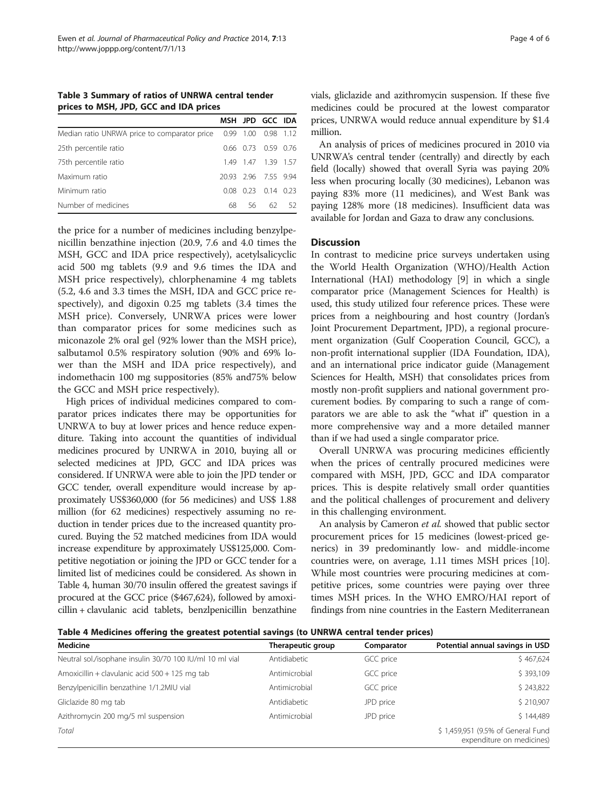<span id="page-3-0"></span>Table 3 Summary of ratios of UNRWA central tender prices to MSH, JPD, GCC and IDA prices

|                                              |      |       | MSH JPD GCC IDA      |      |
|----------------------------------------------|------|-------|----------------------|------|
| Median ratio UNRWA price to comparator price | 0.99 | -1.00 | $0.98$ 1.12          |      |
| 25th percentile ratio                        |      |       | 066 073 059          | 0.76 |
| 75th percentile ratio                        |      |       | 149 147 139 157      |      |
| Maximum ratio                                |      |       | 20.93 2.96 7.55 9.94 |      |
| Minimum ratio                                |      |       | 0.08 0.23 0.14 0.23  |      |
| Number of medicines                          | 68   | 56    | 62                   | 52   |

the price for a number of medicines including benzylpenicillin benzathine injection (20.9, 7.6 and 4.0 times the MSH, GCC and IDA price respectively), acetylsalicyclic acid 500 mg tablets (9.9 and 9.6 times the IDA and MSH price respectively), chlorphenamine 4 mg tablets (5.2, 4.6 and 3.3 times the MSH, IDA and GCC price respectively), and digoxin 0.25 mg tablets (3.4 times the MSH price). Conversely, UNRWA prices were lower than comparator prices for some medicines such as miconazole 2% oral gel (92% lower than the MSH price), salbutamol 0.5% respiratory solution (90% and 69% lower than the MSH and IDA price respectively), and indomethacin 100 mg suppositories (85% and75% below the GCC and MSH price respectively).

High prices of individual medicines compared to comparator prices indicates there may be opportunities for UNRWA to buy at lower prices and hence reduce expenditure. Taking into account the quantities of individual medicines procured by UNRWA in 2010, buying all or selected medicines at JPD, GCC and IDA prices was considered. If UNRWA were able to join the JPD tender or GCC tender, overall expenditure would increase by approximately US\$360,000 (for 56 medicines) and US\$ 1.88 million (for 62 medicines) respectively assuming no reduction in tender prices due to the increased quantity procured. Buying the 52 matched medicines from IDA would increase expenditure by approximately US\$125,000. Competitive negotiation or joining the JPD or GCC tender for a limited list of medicines could be considered. As shown in Table 4, human 30/70 insulin offered the greatest savings if procured at the GCC price (\$467,624), followed by amoxicillin + clavulanic acid tablets, benzlpenicillin benzathine vials, gliclazide and azithromycin suspension. If these five medicines could be procured at the lowest comparator prices, UNRWA would reduce annual expenditure by \$1.4 million.

An analysis of prices of medicines procured in 2010 via UNRWA's central tender (centrally) and directly by each field (locally) showed that overall Syria was paying 20% less when procuring locally (30 medicines), Lebanon was paying 83% more (11 medicines), and West Bank was paying 128% more (18 medicines). Insufficient data was available for Jordan and Gaza to draw any conclusions.

#### **Discussion**

In contrast to medicine price surveys undertaken using the World Health Organization (WHO)/Health Action International (HAI) methodology [\[9](#page-5-0)] in which a single comparator price (Management Sciences for Health) is used, this study utilized four reference prices. These were prices from a neighbouring and host country (Jordan's Joint Procurement Department, JPD), a regional procurement organization (Gulf Cooperation Council, GCC), a non-profit international supplier (IDA Foundation, IDA), and an international price indicator guide (Management Sciences for Health, MSH) that consolidates prices from mostly non-profit suppliers and national government procurement bodies. By comparing to such a range of comparators we are able to ask the "what if" question in a more comprehensive way and a more detailed manner than if we had used a single comparator price.

Overall UNRWA was procuring medicines efficiently when the prices of centrally procured medicines were compared with MSH, JPD, GCC and IDA comparator prices. This is despite relatively small order quantities and the political challenges of procurement and delivery in this challenging environment.

An analysis by Cameron et al. showed that public sector procurement prices for 15 medicines (lowest-priced generics) in 39 predominantly low- and middle-income countries were, on average, 1.11 times MSH prices [[10](#page-5-0)]. While most countries were procuring medicines at competitive prices, some countries were paying over three times MSH prices. In the WHO EMRO/HAI report of findings from nine countries in the Eastern Mediterranean

Table 4 Medicines offering the greatest potential savings (to UNRWA central tender prices)

| <b>Medicine</b>                                          | Therapeutic group | Comparator | Potential annual savings in USD                                |
|----------------------------------------------------------|-------------------|------------|----------------------------------------------------------------|
| Neutral sol./isophane insulin 30/70 100 IU/ml 10 ml vial | Antidiabetic      | GCC price  | \$467,624                                                      |
| Amoxicillin + clavulanic acid 500 + 125 mg tab           | Antimicrobial     | GCC price  | \$393,109                                                      |
| Benzylpenicillin benzathine 1/1.2MIU vial                | Antimicrobial     | GCC price  | \$243,822                                                      |
| Gliclazide 80 mg tab                                     | Antidiabetic      | JPD price  | \$210,907                                                      |
| Azithromycin 200 mg/5 ml suspension                      | Antimicrobial     | JPD price  | \$144,489                                                      |
| Total                                                    |                   |            | \$1,459,951 (9.5% of General Fund<br>expenditure on medicines) |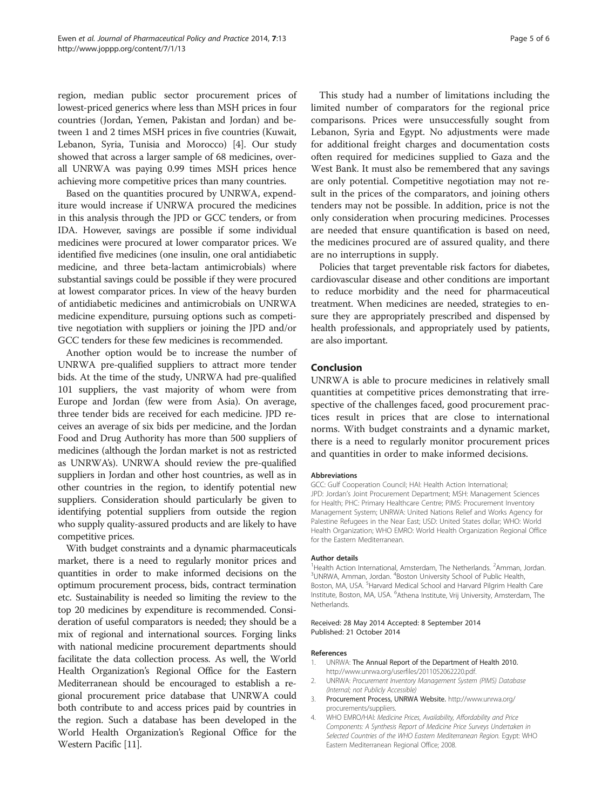<span id="page-4-0"></span>region, median public sector procurement prices of lowest-priced generics where less than MSH prices in four countries (Jordan, Yemen, Pakistan and Jordan) and between 1 and 2 times MSH prices in five countries (Kuwait, Lebanon, Syria, Tunisia and Morocco) [4]. Our study showed that across a larger sample of 68 medicines, overall UNRWA was paying 0.99 times MSH prices hence achieving more competitive prices than many countries.

Based on the quantities procured by UNRWA, expenditure would increase if UNRWA procured the medicines in this analysis through the JPD or GCC tenders, or from IDA. However, savings are possible if some individual medicines were procured at lower comparator prices. We identified five medicines (one insulin, one oral antidiabetic medicine, and three beta-lactam antimicrobials) where substantial savings could be possible if they were procured at lowest comparator prices. In view of the heavy burden of antidiabetic medicines and antimicrobials on UNRWA medicine expenditure, pursuing options such as competitive negotiation with suppliers or joining the JPD and/or GCC tenders for these few medicines is recommended.

Another option would be to increase the number of UNRWA pre-qualified suppliers to attract more tender bids. At the time of the study, UNRWA had pre-qualified 101 suppliers, the vast majority of whom were from Europe and Jordan (few were from Asia). On average, three tender bids are received for each medicine. JPD receives an average of six bids per medicine, and the Jordan Food and Drug Authority has more than 500 suppliers of medicines (although the Jordan market is not as restricted as UNRWA's). UNRWA should review the pre-qualified suppliers in Jordan and other host countries, as well as in other countries in the region, to identify potential new suppliers. Consideration should particularly be given to identifying potential suppliers from outside the region who supply quality-assured products and are likely to have competitive prices.

With budget constraints and a dynamic pharmaceuticals market, there is a need to regularly monitor prices and quantities in order to make informed decisions on the optimum procurement process, bids, contract termination etc. Sustainability is needed so limiting the review to the top 20 medicines by expenditure is recommended. Consideration of useful comparators is needed; they should be a mix of regional and international sources. Forging links with national medicine procurement departments should facilitate the data collection process. As well, the World Health Organization's Regional Office for the Eastern Mediterranean should be encouraged to establish a regional procurement price database that UNRWA could both contribute to and access prices paid by countries in the region. Such a database has been developed in the World Health Organization's Regional Office for the Western Pacific [\[11\]](#page-5-0).

This study had a number of limitations including the limited number of comparators for the regional price comparisons. Prices were unsuccessfully sought from Lebanon, Syria and Egypt. No adjustments were made for additional freight charges and documentation costs often required for medicines supplied to Gaza and the West Bank. It must also be remembered that any savings are only potential. Competitive negotiation may not result in the prices of the comparators, and joining others tenders may not be possible. In addition, price is not the only consideration when procuring medicines. Processes are needed that ensure quantification is based on need, the medicines procured are of assured quality, and there are no interruptions in supply.

Policies that target preventable risk factors for diabetes, cardiovascular disease and other conditions are important to reduce morbidity and the need for pharmaceutical treatment. When medicines are needed, strategies to ensure they are appropriately prescribed and dispensed by health professionals, and appropriately used by patients, are also important.

## Conclusion

UNRWA is able to procure medicines in relatively small quantities at competitive prices demonstrating that irrespective of the challenges faced, good procurement practices result in prices that are close to international norms. With budget constraints and a dynamic market, there is a need to regularly monitor procurement prices and quantities in order to make informed decisions.

#### Abbreviations

GCC: Gulf Cooperation Council; HAI: Health Action International; JPD: Jordan's Joint Procurement Department; MSH: Management Sciences for Health; PHC: Primary Healthcare Centre; PIMS: Procurement Inventory Management System; UNRWA: United Nations Relief and Works Agency for Palestine Refugees in the Near East; USD: United States dollar; WHO: World Health Organization; WHO EMRO: World Health Organization Regional Office for the Eastern Mediterranean.

#### Author details

<sup>1</sup> Health Action International, Amsterdam, The Netherlands. <sup>2</sup>Amman, Jordan UNRWA, Amman, Jordan. <sup>4</sup>Boston University School of Public Health, Boston, MA, USA. <sup>5</sup>Harvard Medical School and Harvard Pilgrim Health Care Institute, Boston, MA, USA. <sup>6</sup>Athena Institute, Vrij University, Amsterdam, The Netherlands.

#### Received: 28 May 2014 Accepted: 8 September 2014 Published: 21 October 2014

#### References

- 1. UNRWA: The Annual Report of the Department of Health 2010. [http://www.unrwa.org/userfiles/2011052062220.pdf.](http://www.unrwa.org/userfiles/2011052062220.pdf)
- 2. UNRWA: Procurement Inventory Management System (PIMS) Database (Internal; not Publicly Accessible)
- 3. Procurement Process, UNRWA Website. [http://www.unrwa.org/](http://www.unrwa.org/procurements/suppliers) [procurements/suppliers.](http://www.unrwa.org/procurements/suppliers)
- 4. WHO EMRO/HAI: Medicine Prices, Availability, Affordability and Price Components: A Synthesis Report of Medicine Price Surveys Undertaken in Selected Countries of the WHO Eastern Mediterranean Region. Egypt: WHO Eastern Mediterranean Regional Office; 2008.